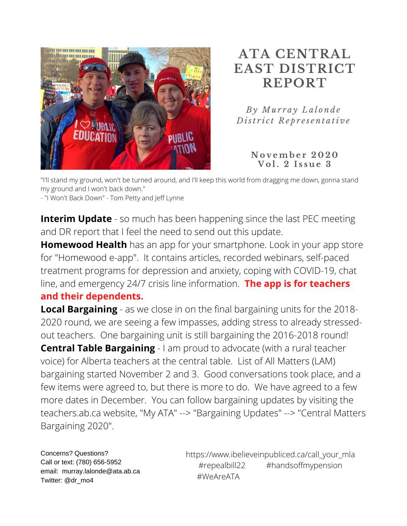

## **ATA CENTRAL EAST DISTRICT REPORT**

*B y Mu r r a y L a l o n d e D ist r i c t R e p r e s e n t a ti v e*

> **N o v emb e r 2 0 2 0 V o l . 2 I s s u e 3**

"I'll stand my ground, won't be turned around, and I'll keep this world from dragging me down, gonna stand my ground and I won't back down."

- "I Won't Back Down" - Tom Petty and Jeff Lynne

**Interim Update** - so much has been happening since the last PEC meeting and DR report that I feel the need to send out this update.

**Homewood Health** has an app for your smartphone. Look in your app store for "Homewood e-app". It contains articles, recorded webinars, self-paced treatment programs for depression and anxiety, coping with COVID-19, chat line, and emergency 24/7 crisis line information. **The app is for teachers and their dependents.**

**Local Bargaining** - as we close in on the final bargaining units for the 2018- 2020 round, we are seeing a few impasses, adding stress to already stressedout teachers. One bargaining unit is still bargaining the 2016-2018 round! **Central Table Bargaining** - I am proud to advocate (with a rural teacher voice) for Alberta teachers at the central table. List of All Matters (LAM) bargaining started November 2 and 3. Good conversations took place, and a few items were agreed to, but there is more to do. We have agreed to a few more dates in December. You can follow bargaining updates by visiting the teachers.ab.ca website, "My ATA" --> "Bargaining Updates" --> "Central Matters Bargaining 2020".

Concerns? Questions? Call or text: (780) 656-5952 email: murray.lalonde@ata.ab.ca Twitter: @dr\_mo4

https://www.ibelieveinpubliced.ca/call\_your\_mla #repealbill22 #handsoffmypension #WeAreATA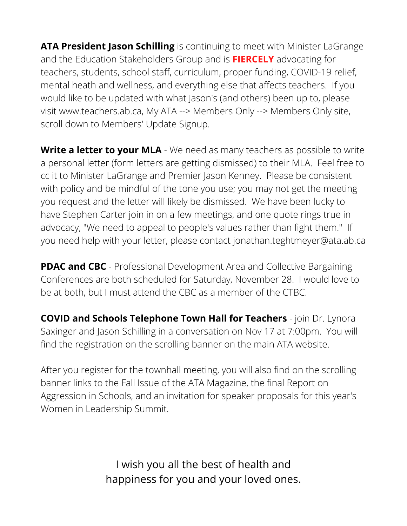**ATA President Jason Schilling** is continuing to meet with Minister LaGrange and the Education Stakeholders Group and is **FIERCELY** advocating for teachers, students, school staff, curriculum, proper funding, COVID-19 relief, mental heath and wellness, and everything else that affects teachers. If you would like to be updated with what Jason's (and others) been up to, please visit www.teachers.ab.ca, My ATA --> Members Only --> Members Only site, scroll down to Members' Update Signup.

**Write a letter to your MLA** - We need as many teachers as possible to write a personal letter (form letters are getting dismissed) to their MLA. Feel free to cc it to Minister LaGrange and Premier Jason Kenney. Please be consistent with policy and be mindful of the tone you use; you may not get the meeting you request and the letter will likely be dismissed. We have been lucky to have Stephen Carter join in on a few meetings, and one quote rings true in advocacy, "We need to appeal to people's values rather than fight them." If you need help with your letter, please contact jonathan.teghtmeyer@ata.ab.ca

**PDAC and CBC** - Professional Development Area and Collective Bargaining Conferences are both scheduled for Saturday, November 28. I would love to be at both, but I must attend the CBC as a member of the CTBC.

**COVID and Schools Telephone Town Hall for Teachers** - join Dr. Lynora Saxinger and Jason Schilling in a conversation on Nov 17 at 7:00pm. You will find the registration on the scrolling banner on the main ATA website.

After you register for the townhall meeting, you will also find on the scrolling banner links to the Fall Issue of the ATA Magazine, the final Report on Aggression in Schools, and an invitation for speaker proposals for this year's Women in Leadership Summit.

> I wish you all the best of health and happiness for you and your loved ones.